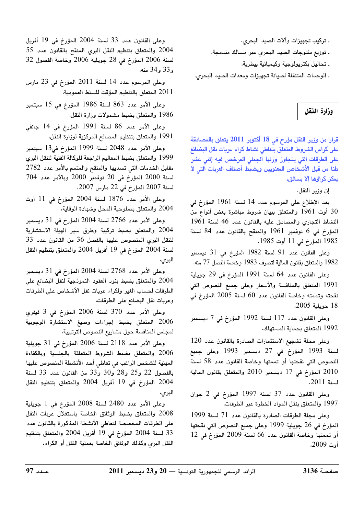. تركيب تجهيزات وآلات الصيد البحري،

. توزيع منتوجات الصيد البحري عبر مسالك مندمجة،

. تحاليل بكتريولوجية وكيميائية بيطرية،

. الوحدات المتنقلة لصيانة تجهيزات ومعدات الصيد البحري.

#### وزارة النقل

قرار من وزير النقل مؤرخ في 18 أكتوبر 2011 يتعلق بالمصادقة على كراس الشروط المتعلق بتعاطى نشاط كراء عربات نقل البضائع على الطرقات التى يتجاوز وزنها الجملى المرخص فيه إثنى عشر طنا من قبل الأشخاص المعنويين وبضبط أصناف العربات التى لا يمكن كراؤها إلا بسائق.

إن وزير النقل،

بعد الإطلاع على المرسوم عدد 14 لسنة 1961 المؤرخ في أوت 1961 والمتعلق ببيان شروط مباشرة بعض أنواع من  $30$ النشاط التجاري والمصادق عليه بالقانون عدد 46 لسنة 1961 المؤرخ في 6 نوفمبر 1961 والمنقح بالقانون عدد 84 لسنة 1985 المؤرخ في 11 أوت 1985،

وعلى القانون عدد 91 لسنة 1982 المؤرخ في 31 ديسمبر 1982 والمتعلق بقانون المالية لتصرف 1983 وخاصة الفصل 77 منه،

وعلى القانون عدد 64 لسنة 1991 المؤرخ في 29 جويلية 1991 المتعلق بالمنافسة والأسعار وعلى جميع النصوص التى نقحته وتممته وخاصة القانون عدد 60 لسنة 2005 المؤرخ في 18 حويلية 2005،

وعلى القانون عدد 117 لسنة 1992 المؤرخ في 7 ديسمبر 1992 المتعلق بحماية المستهلك،

وعلى مجلة تشجيع الاستثمارات الصادرة بالقانون عدد 120 لسنة 1993 المؤرخ في 27 ديسمبر 1993 وعلى جميع النصوص التي نقحتها أو تممتها وخاصة القانون عدد 58 لسنة 2010 المؤرخ في 17 ديسمبر 2010 والمتعلق بقانون المالية لسنة 2011.

وعلى القانون عدد 37 لسنة 1997 المؤرخ في 2 جوان 1997 والمتعلق بنقل المواد الخطرة عبر الطرقات،

وعلى مجلة الطرقات الصادرة بالقانون عدد 71 لسنة 1999 المؤرخ في 26 جويلية 1999 وعلى جميع النصوص التي نقحتها أو تممتها وخاصة القانون عدد 66 لسنة 2009 المؤرخ في 12 أوت 2009.

وعلى القانون عدد 33 لسنة 2004 المؤرخ في 19 أفريل 2004 والمتعلق بتنظيم النقل البرى المنقح بالقانون عدد 55 لسنة 2006 المؤرخ في 28 جويلية 2006 وخاصة الفصول 32 و33 و34 منه،

وعلى المرسوم عدد 14 لسنة 2011 المؤرخ في 23 مارس 2011 المتعلق بالتنظيم المؤقت للسلط العمومية،

وعلى الأمر عدد 863 لسنة 1986 المؤرخ في 15 سبتمبر 1986 والمتعلق بضبط مشمولات وزارة النقل،

وعلى الأمر عدد 86 لسنة 1991 المؤرخ في 14 جانفي 1991 والمتعلق بتنظيم المصالح المركزية لوزارة النقل،

وعلى الأمر عدد 2048 لسنة 1999 المؤرخ في13 سبتمبر 1999 والمتعلق بضبط المعاليم الراجعة للوكالة الفنية للنقل البري مقابل الخدمات التى تسديها والمنقح والمتمم بالأمر عدد 2782  $704$  لسنة 2000 المؤرخ في 20 نوفمبر 2000 وبالأمر عدد  $704$ لسنة 2007 المؤرخ في 22 مارس 2007،

وعلى الأمر عدد 1876 لسنة 2004 المؤرخ في 11 أوت 2004 والمتعلق بصلوحية المحل وشهادة الوقاية،

وعلى الأمر عدد 2766 لسنة 2004 المؤرخ في 31 ديسمبر 2004 والمتعلق بضبط تركيبة وطرق سير الهيئة الاستشارية للنقل البري المنصوص عليها بالفصل 36 من القانون عدد 33 لسنة 2004 المؤرخ في 19 أفريل 2004 والمتعلق بتنظيم النقل البري،

وعلى الأمر عدد 2768 لسنة 2004 المؤرخ في 31 ديسمبر 2004 والمتعلق بضبط بنود العقود النموذجية لنقل البضائع على الطرقات لحساب الغير ولكراء عربات نقل الأشخاص على الطرقات وعربات نقل البضائع على الطرقات،

وعلى الأمر عدد 370 لسنة 2006 المؤرخ في 3 فيفرى 2006 المتعلق بضبط إجراءات وصيغ الاستشارة الوجوبية لمجلس المنافسة حول مشاريع النصوص الترتيبية،

وعلى الأمر عدد 2118 لسنة 2006 المؤرخ في 31 جويلية 2006 والمتعلق بضبط الشروط المتعلقة بالجنسية وبالكفاءة المهنية للشخص الراغب في تعاطي أحد الأنشطة المنصوص عليها بالفصول 22 و25 و28 و30 و33 من القانون عدد 33 لسنة 2004 المؤرخ في 19 أفريل 2004 والمتعلق بتنظيم النقل البري،

وعلى الأمر عدد 2480 لسنة 2008 المؤرخ في 1 جويلية 2008 والمتعلق بضبط الوثائق الخاصة باستغلال عربات النقل على الطرقات المخصصة لتعاطى الأنشطة المذكورة بالقانون عدد 33 لسنة 2004 المؤرخ في 19 أفريل 2004 والمتعلق بتنظيم النقل البري وكذلك الوثائق الخاصة بعملية النقل أو الكراء،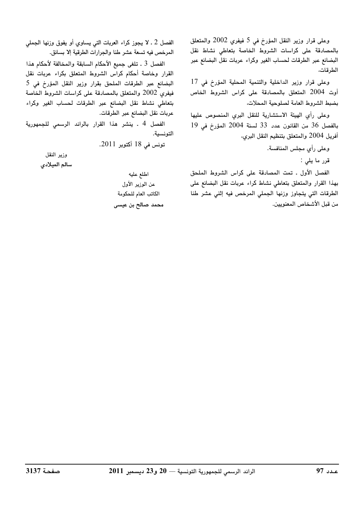وعلى قرار وزير النقل المؤرخ في 5 فيفري 2002 والمتعلق بالمصادقة على كراسات الشروط الخاصة بتعاطى نشاط نقل البضائع عبر الطرقات لحساب الغير وكراء عربات نقل البضائع عبر الطرقات،

وعلى قرار وزير الداخلية والتنمية المحلية المؤرخ فى 17 أوت 2004 المتعلق بالمصادقة على كراس الشروط الخاص بضبط الشروط العامة لصلوحية المحلات،

وعلى رأي الهيئة الاستشارية للنقل البري المنصوص عليها بالفصل 36 من القانون عدد 33 لسنة 2004 المؤرخ في 19 أفريل 2004 والمتعلق بتنظيم النقل البرى،

وعلى رأى مجلس المنافسة.

قرر ما يلي :

الفصل الأول ـ تمت المصادقة على كراس الشروط الملحق بهذا القرار والمتعلق بتعاطي نشاط كراء عربات نقل البضائع على الطرقات التى يتجاوز وزنها الجملى المرخص فيه إثنى عشر طنا من قبل الأشخاص المعنويين.

الفصل 2 ـ لا يجوز كراء العربات التي يساوي أو يفوق وزنها الجملي المرخص فيه تسعة عشر طنا والجرارات الطرقية إلا بسائق. الفصل 3 ـ تلغى جميع الأحكام السابقة والمخالفة لأحكام هذا القرار وخاصة أحكام كراس الشروط المتعلق بكراء عربات نقل البضائع عبر الطرقات الملحق بقرار وزير النقل المؤرخ فى 5 فيفري 2002 والمتعلق بالمصادقة على كراسات الشروط الخاصة بتعاطى نشاط نقل البضائع عبر الطرقات لحساب الغير وكراء

عربات نقل البضائع عبر الطرقات. الفصل 4 ـ ينشر هذا القرار بالرائد الرسمي للجمهورية التونسية.

تونس في 18 أكتوبر 2011.

وزير النقل سالم الميلادي

> اطلع عليه عن الوزير الأول الكاتب العام للحكومة محمد صالح بن عيسى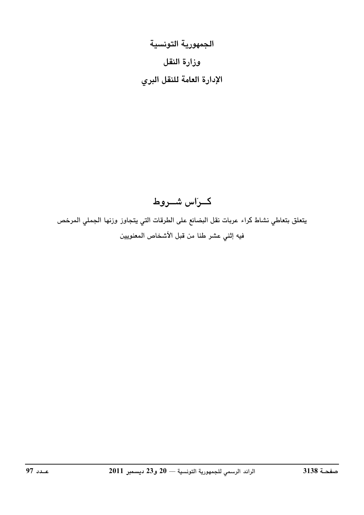الجمهورية التونسية وزارة النقل الإدارة العامة للنقل البري

## كراس شوروط

يتعلق بتعاطي نشاط كراء عربات نقل البضائع على الطرقات التي يتجاوز وزنها الجملي المرخص فيه إثني عشر طنا من قبل الأشخاص المعنويين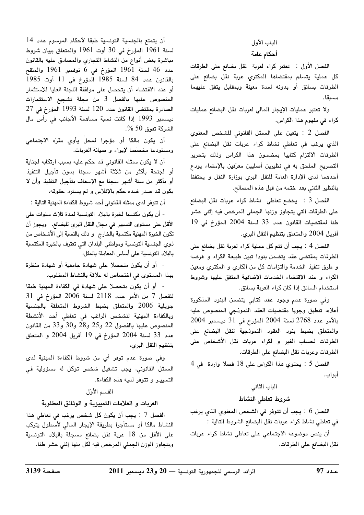# الباب الأول

### أحكام عامة

الفصل الأول : تعتبر كراء لعربة نقل بضائع على الطرقات كل عملية يتسلم بمقتضاها المكتري عربة نقل بضائع على الطرقات بسائق أو بدونه لمدة معينة وبمقابل يتفق عليهما مسبقا.

ولا تعتبر عمليات الإيجار المالي لعربات نقل البضائع عمليات كراء في مفهوم هذا الكراس.

الفصل 2 : <mark>يتعي</mark>ن على الممثل القانوني للشخص المعنوي الذي يرغب في تعاطي نشاط كراء عربات نقل البضائع على الطرقات الالتزام كتابيا بمضمون هذا الكراس وذلك بتحرير التصريح الملحق به في نظيرين أصليين معرّفين بالإمضاء يودع أحدهما لدى الإدارة العامة للنقل البري بوزارة النقل و يحتفظ بالنظير الثاني بعد ختمه من قبل هذه المصالح.

الفصل 3 : يخضع تعاطى نشاط كراء عربات نقل البضائع على الطرقات التي يتجاوز وزنها الجملي المرخص فيه إثني عشر طنا لمقتضيات القانون عدد 33 لسنة 2004 المؤرخ فى 19 أفريل 2004 والمتعلق بتنظيم النقل البري.

الفصل 4 : يجب أن تتم كل عملية كراء لعربة نقل بضائع على الطرقات بمقتضى عقد يتضمن بنودا تبين طبيعة الكراء و غرضه و طرق تنفيذ الخدمة والتزامات كل من الكارى و المكترى ومعين الكراء وعند الإقتضاء الخدمات الإضافية المتفق عليها وشروط استخدام السائق إذا كان كراء العربة بسائق.

وفى صورة عدم وجود عقد كتابى يتضمن البنود المذكورة أعلاه، تنطبق وجوبا مقتضيات العقد النموذجى المنصوص عليه  $2004$  بالأمر عدد 2768 لسنة 2004 المؤرخ في 31 ديسمبر والمتعلق بضبط بنود العقود النموذجية لنقل البضائع على الطرقات لحساب الغير و لكراء عربات نقل الأشخاص على الطرقات وعربات نقل البضائع على الطرقات.

الفصل 5 : يحتوى هذا الكراس على 18 فصلا واردة فى 4 أبواب.

#### الباب الثانى

#### شروط تعاطى النشاط

الفصل 6 : يجب أن تتوفر في الشخص المعنوي الذي يرغب في تعاطى نشاط كراء عربات نقل البضائع الشروط التالية :

أن ينص موضوعه الاجتماعى على تعاطى نشاط كراء عربات نقل البضائع على الطرقات،

أن يتمتع بالجنسية التونسية طبقا لأحكام المرسوم عدد 14 لسنة 1961 المؤرخ في 30 أوت 1961 والمتعلق ببيان شروط مباشرة بعض أنواع من النشاط التجاري والمصادق عليه بالقانون عدد 46 لسنة 1961 المؤرخ في 6 نوفمبر 1961 والمنقح بالقانون عدد 84 لسنة 1985 المؤرخ في 11 أوت 1985 أو عند الاقتضاء أن يتحصل على موافقة اللجنة العليا للاستثمار المنصوص عليها بالفصل 3 من مجلة تشجيع الاستثمارات الصادرة بمقتضى القانون عدد 120 لسنة 1993 المؤرخ في 27 ديسمبر 1993 إذا كانت نسبة مساهمة الأجانب فى رأس مال الشركة تفوق 50 %.

أن يكون مالكا أو مؤجرا لمحلّ يأوي مقرّه الاجتماعي ومستودعا مخصّصا لإيواء و صيانة العربات.

أن لا يكون ممثله القانوني قد حكم عليه بسبب ارتكابه لجناية أو لجنحة بأكثر من ثلاثة أشهر سجنا بدون تأجيل التنفيذ أو بأكثر من ستة أشهر سجنا مع الإسعاف بتأجيل التنفيذ وأن لا يكون قد صدر ضده حكم بالإفلاس و لم يسترد حقوقه،

أن تتوفر لدى ممثله القانوني أحد شروط الكفاءة المهنية التالية :

- أن يكون مكتسبا لخبرة بالبلاد التونسية لمدة ثلاث سنوات على الأقل على مستوى التسيير في مجال النقل البري للبضائع. ويجوز أن تكون الخبرة المهنية مكتسبة بالخارج ۚ و ذلك بالنسبة إلى الأشخاص من ذوى الجنسية التونسية ومواطني البلدان التي تعترف بالخبرة المكتسبة بالبلاد التونسية على أساس المعاملة بالمثل،

- أو أن يكون متحصلا على شهادة جامعية أو شهادة منظرة بهذا المستوى في اختصاص له علاقة بالنشاط المطلوب.

- أو أن يكون متحصلا على شهادة في الكفاءة المهنية طبقا للفصل 7 من الأمر عدد 2118 لسنة 2006 المؤرخ في 31 جويلية 2006 والمتعلق بضبط الشروط المتعلقة بالجنسية وبالكفاءة المهنية للشخص الراغب فى تعاطى أحد الأنشطة المنصوص عليها بالفصول 22 و25 و28 و30 و33 من القانون عدد 33 لسنة 2004 المؤرخ في 19 أفريل 2004 و المتعلق بتنظيم النقل البرى،

وفي صورة عدم توفر أي من شروط الكفاءة المهنية لدى الممثل القانوني، يجب تشغيل شخص توكل له مسؤولية ف*ي* التسبير و تتوفر لديه هذه الكفاءة.

#### القسم الأول

#### العربات و العلامات التمييزية و الوثائق المطلوبة

الفصل 7 : يجب أن يكون كل شخص يرغب في تعاطى هذا النشاط مالكا أو مستأجرا بطريقة الإيجار المالى لأسطول يتركب على الأقل من 18 عربة نقل بضائع مسجلة بالبلاد التونسية ويتجاوز الوزن الجملي المرخص فيه لكل منها إثني عشر طنا.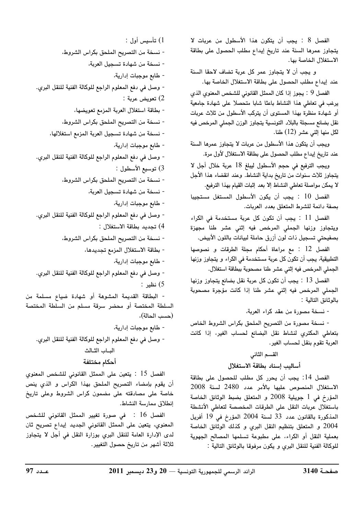الفصل 8 : يجب أن يتكون هذا الأسطول من عربات لا يتجاوز عمرها السنة عند تاريخ إيداع مطلب الحصول على بطاقة الاستغلال الخاصة بها.

و يجب أن لا يتجاوز عمر كل عربة تضاف لاحقا السنة عند إيداع مطلب الحصول على بطاقة الاستغلال الخاصة بها.

الفصل 9 : يجوز إذا كان الممثل القانوني للشخص المعنوى الذي يرغب في تعاطى هذا النشاط باعثا شابا متحصلا على شهادة جامعية أو شهادة منظرة بهذا المستوى أن يتركب الأسطول من ثلاث عربات نقل بضائع مسجلة بالبلاد التونسية يتجاوز الوزن الجملى المرخص فيه لكل منها إثنى عشر (12) طنا.

ويجب أن يتكون هذا الأسطول من عربات لا يتجاوز عمرها السنة عند تاريخ إيداع مطلب الحصول على بطاقة الاستغلال لأول مرة.

ويجب الترفيع في حجم الأسطول ليبلغ 18 عربة خلال أجل لا يتجاوز ثلاث سنوات من تاريخ بداية النشاط. وعند انقضاء هذا الأجل لا يمكن مواصلة تعاطى النشاط إلا بعد إثبات القيام بهذا الترفيع.

الفصل 10 : يجب أن يكون الأسطول المستغل مستجيبا بصفة دائمة للشرط المتعلق بعدد العربات.

الفصل 11 : يجب أن تكون كل عربة مستخدمة في الكراء ويتجاوز وزنها الجملى المرخص فيه إثنى عشر طنا مجهزة بصفيحتى تسجيل ذات لون أزرق حاملة لبيانات باللون الأبيض.

الفصل 12 : مع مراعاة أحكام مجلة الطرقات و نصوصها التطبيقية، يجب أن تكون كل عربة مستخدمة في الكراء و يتجاوز وزنها الجملي المرخص فيه إثني عشر طنا مصحوبة ببطاقة استغلال.

الفصل 13 : يجب أن تكون كل عربة نقل بضائع يتجاوز وزنها الجملي المرخص فيه إثني عشر طنا إذا كانت مؤجرة مصحوبة بالوثائق التالية :

- نسخة مصورة من عقد كراء العربة،

- نسخة مصورة من التصريح الملحق بكراس الشروط الخاص بتعاطى المكتري لنشاط نقل البضائع لحساب الغير، إذا كانت العربة تقوم بنقل لحساب الغير.

### القسم الثاني أساليب إسناد بطاقة الاستغلال

الفصل 14: يجب أن يحرر كل مطلب للحصول على بطاقة الاستغلال المنصوص عليها بالأمر عدد 2480 لسنة 2008 المؤرخ في 1 جويلية 2008 و المتعلق بضبط الوثائق الخاصة باستغلال عربات النقل على الطرقات المخصصة لتعاطى الأنشطة المذكورة بالقانون عدد 33 لسنة 2004 المؤرخ في 19 أفريل 2004 و المتعلق بتنظيم النقل البرى و كذلك الوثائق الخاصة بعملية النقل أو الكراء، على مطبوعة تسلمها المصالح الجهوية للوكالة الفنية للنقل البرى و يكون مرفوقا بالوثائق التالية :

1) تأسيس أول : - نسخة من التصريح الملحق بكراس الشروط، - نسخة من شهادة تسجيل العربة، - طابع موجبات إدارية، - وصل في دفع المعلوم الراجع للوكالة الفنية للنقل البري. 2) تعويض عربة : - بطاقة استغلال العربة المزمع تعويضها، - نسخة من التصريح الملحق بكراس الشروط، - نسخة من شهادة تسجيل العربة المزمع استغلالها، - طابع موجبات إدارية، - وصل في دفع المعلوم الراجع للوكالة الفنية للنقل البرى. 3) توسيع الأسطول : - نسخة من التصريح الملحق بكراس الشروط، - نسخة من شهادة تسجيل العربة، - طابع موجبات إدارية، - وصل في دفع المعلوم الراجع للوكالة الفنية للنقل البري. 4) تجديد بطاقة الاستغلال : - نسخة من التصريح الملحق بكراس الشروط، - بطاقة الاستغلال المزمع تجديدها، - طابع موجبات إدارية، - وصل في دفع المعلوم الراجع للوكالة الفنية للنقل البري. 5) نظير : - البطاقة القديمة المشوهة أو شهادة ضياع مسلمة من السلطة المختصة أو محضر سرقة مسلم من السلطة المختصة (حسب الحالة)، - طابع موجبات إدارية، - وصل في دفع المعلوم الراجع للوكالة الفنية للنقل البري. البساب الثيالث أحكام مختلفة الفصل 15 : يتعين على الممثل القانوني للشخص المعنوي أن يقوم بإمضاء التصريح الملحق بهذا الكراس و الذي ينص خاصة على مصادقته على مضمون كراس الشروط وعلى تاريخ

الفصل 16 : في صورة تغيير الممثل القانوني للشخص المعنوي، يتعين على الممثل القانوني الجديد إيداع تصريح ثان لدى الإدارة العامة للنقل البري بوزارة النقل في أجل لا يتجاوز ثلاثة أشهر من تاريخ حصول التغيير.

إنطلاق ممارسة النشاط.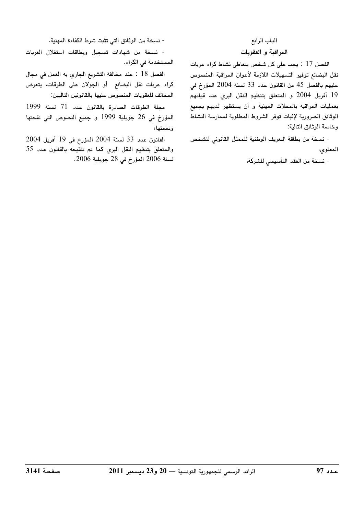#### الباب الرابع المراقبة و العقوبات

الفصل 17 : يجب على كل شخص يتعاطى نشاط كراء عربات نقل البضائع توفير التسهيلات اللازمة لأعوان المراقبة المنصوص عليهم بالفصل 45 من القانون عدد 33 لسنة 2004 المؤرخ في 19 أفريل 2004 و المتعلق بتنظيم النقل البري عند قيامهم بعمليات المراقبة بالمحلات المهنية و أن يستظهر لديهم بجميع الوثائق الضرورية لإثبات توفر الشروط المطلوبة لممارسة النشاط وخاصة الوثائق التالية:

- نسخة من بطاقة التعريف الوطنية للممثل القانوني للشخص المعنوي،

- نسخة من العقد التأسيسي للشركة،

- نسخة من الوثائق التي تثبت شرط الكفاءة المهنية،

- نسخة من شهادات تسجيل وبطاقات استغلال العربات المستخدمة في الكراء.

الفصل 18 : عند مخالفة التشريع الجاري به العمل في مجال كراء عربات نقل البضائع أو الجولان على الطرقات، يتعرض المخالف للعقوبات المنصوص عليها بالقانونين التاليين:

مجلة الطرقات الصادرة بالقانون عدد 71 لسنة 1999 المؤرخ في 26 جويلية 1999 و جميع النصوص التي نقحتها وتمَمتها؛

القانون عدد 33 لسنة 2004 المؤرخ في 19 أفريل 2004 والمتعلق بتنظيم النقل البري كما تم تنقيحه بالقانون عدد 55 لسنة 2006 المؤرخ في 28 جويلية 2006.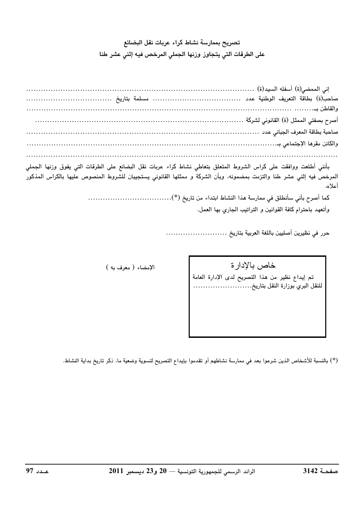### تصريح بممارسة نشاط كراء عربات نقل البضائع على الطرقات التي يتجاوز وزنها الجملي المرخص فيه إثني عشر طنا

| بأنني أطلعت ووافقت على كراس الشروط المتعلق بتعاطي نشاط كراء عربات نقل البضائع على الطرقات التي يفوق وزنها الجملي<br>المرخص فيه إثني عشر طنا والتزمت بمضمونه، وبأن الشركة و ممثلها القانوني يستجيبان للشروط المنصوص عليها بالكراس |
|----------------------------------------------------------------------------------------------------------------------------------------------------------------------------------------------------------------------------------|
| أعلاه،                                                                                                                                                                                                                           |
|                                                                                                                                                                                                                                  |

وأتعهد باحترام كافة القوانين و التراتيب الجاري بها العمل.

خاص بالإدارة تم إيداع نظير من هذا التصريح لدى الإدارة العامة<br>للنقل البري بوزارة النقل بتاريخ........................

الإمضاء ( معرف به )

(\*) بالنسبة للأشخاص الذين شرعوا بعد في ممارسة نشاطهم أو تقدموا بإيداع التصريح لتسوية وضعية ما، ذكر تاريخ بداية النشاط.